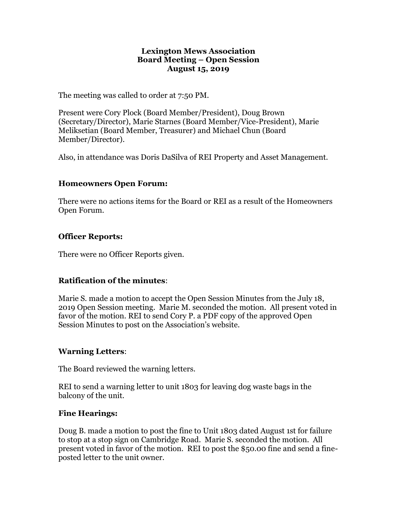#### **Lexington Mews Association Board Meeting – Open Session August 15, 2019**

The meeting was called to order at 7:50 PM.

Present were Cory Plock (Board Member/President), Doug Brown (Secretary/Director), Marie Starnes (Board Member/Vice-President), Marie Meliksetian (Board Member, Treasurer) and Michael Chun (Board Member/Director).

Also, in attendance was Doris DaSilva of REI Property and Asset Management.

# **Homeowners Open Forum:**

There were no actions items for the Board or REI as a result of the Homeowners Open Forum.

# **Officer Reports:**

There were no Officer Reports given.

# **Ratification of the minutes**:

Marie S. made a motion to accept the Open Session Minutes from the July 18, 2019 Open Session meeting. Marie M. seconded the motion. All present voted in favor of the motion. REI to send Cory P. a PDF copy of the approved Open Session Minutes to post on the Association's website.

# **Warning Letters**:

The Board reviewed the warning letters.

REI to send a warning letter to unit 1803 for leaving dog waste bags in the balcony of the unit.

#### **Fine Hearings:**

Doug B. made a motion to post the fine to Unit 1803 dated August 1st for failure to stop at a stop sign on Cambridge Road. Marie S. seconded the motion. All present voted in favor of the motion. REI to post the \$50.00 fine and send a fineposted letter to the unit owner.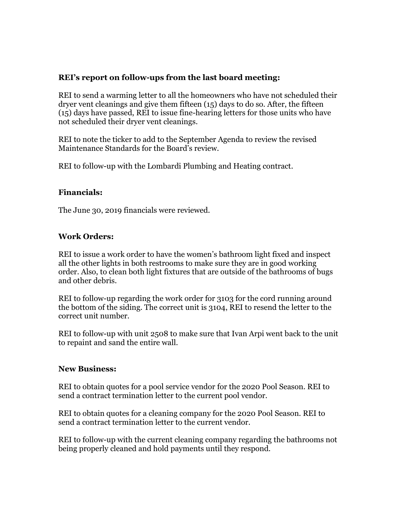# **REI's report on follow-ups from the last board meeting:**

REI to send a warming letter to all the homeowners who have not scheduled their dryer vent cleanings and give them fifteen (15) days to do so. After, the fifteen (15) days have passed, REI to issue fine-hearing letters for those units who have not scheduled their dryer vent cleanings.

REI to note the ticker to add to the September Agenda to review the revised Maintenance Standards for the Board's review.

REI to follow-up with the Lombardi Plumbing and Heating contract.

#### **Financials:**

The June 30, 2019 financials were reviewed.

# **Work Orders:**

REI to issue a work order to have the women's bathroom light fixed and inspect all the other lights in both restrooms to make sure they are in good working order. Also, to clean both light fixtures that are outside of the bathrooms of bugs and other debris.

REI to follow-up regarding the work order for 3103 for the cord running around the bottom of the siding. The correct unit is 3104, REI to resend the letter to the correct unit number.

REI to follow-up with unit 2508 to make sure that Ivan Arpi went back to the unit to repaint and sand the entire wall.

#### **New Business:**

REI to obtain quotes for a pool service vendor for the 2020 Pool Season. REI to send a contract termination letter to the current pool vendor.

REI to obtain quotes for a cleaning company for the 2020 Pool Season. REI to send a contract termination letter to the current vendor.

REI to follow-up with the current cleaning company regarding the bathrooms not being properly cleaned and hold payments until they respond.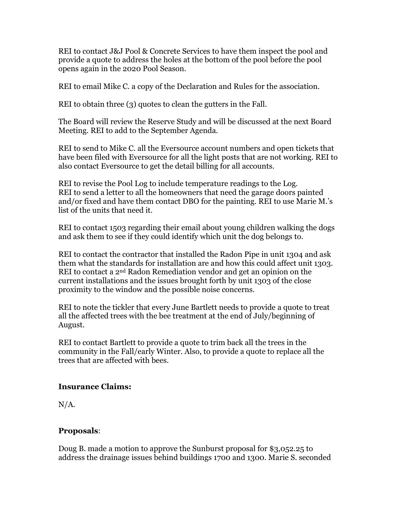REI to contact J&J Pool & Concrete Services to have them inspect the pool and provide a quote to address the holes at the bottom of the pool before the pool opens again in the 2020 Pool Season.

REI to email Mike C. a copy of the Declaration and Rules for the association.

REI to obtain three (3) quotes to clean the gutters in the Fall.

The Board will review the Reserve Study and will be discussed at the next Board Meeting. REI to add to the September Agenda.

REI to send to Mike C. all the Eversource account numbers and open tickets that have been filed with Eversource for all the light posts that are not working. REI to also contact Eversource to get the detail billing for all accounts.

REI to revise the Pool Log to include temperature readings to the Log. REI to send a letter to all the homeowners that need the garage doors painted and/or fixed and have them contact DBO for the painting. REI to use Marie M.'s list of the units that need it.

REI to contact 1503 regarding their email about young children walking the dogs and ask them to see if they could identify which unit the dog belongs to.

REI to contact the contractor that installed the Radon Pipe in unit 1304 and ask them what the standards for installation are and how this could affect unit 1303. REI to contact a 2nd Radon Remediation vendor and get an opinion on the current installations and the issues brought forth by unit 1303 of the close proximity to the window and the possible noise concerns.

REI to note the tickler that every June Bartlett needs to provide a quote to treat all the affected trees with the bee treatment at the end of July/beginning of August.

REI to contact Bartlett to provide a quote to trim back all the trees in the community in the Fall/early Winter. Also, to provide a quote to replace all the trees that are affected with bees.

#### **Insurance Claims:**

N/A.

# **Proposals**:

Doug B. made a motion to approve the Sunburst proposal for \$3,052.25 to address the drainage issues behind buildings 1700 and 1300. Marie S. seconded